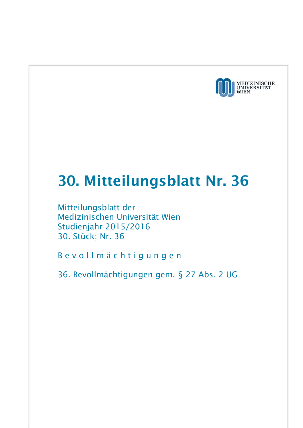

## 30. Mitteilungsblatt Nr. 36

Mitteilungsblatt der Medizinischen Universität Wien Studienjahr 2015/2016 30. Stück; Nr. 36

B e v o l l m ä c h t i g u n g e n

36. Bevollmächtigungen gem. § 27 Abs. 2 UG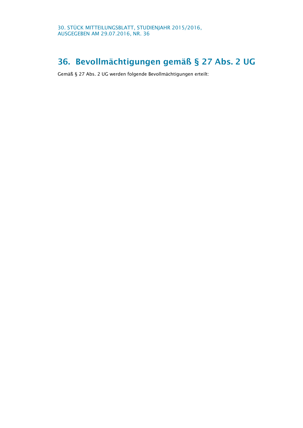## 36. Bevollmächtigungen gemäß § 27 Abs. 2 UG

Gemäß § 27 Abs. 2 UG werden folgende Bevollmächtigungen erteilt: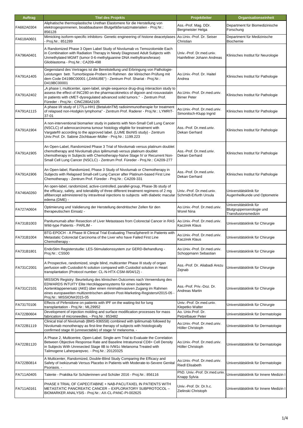| <b>Auftrag</b> | <b>Titel des Projekts</b>                                                                                                                                                                                                                                                                                                           | Projektleiter                                          | <b>Organisationseinheit</b>                                               |
|----------------|-------------------------------------------------------------------------------------------------------------------------------------------------------------------------------------------------------------------------------------------------------------------------------------------------------------------------------------|--------------------------------------------------------|---------------------------------------------------------------------------|
| FA662A0304     | Aliphatische thermoplastische Urethan Elastomere für die Herstellung von<br>elektrogesponnenen, bioabbaubaren Blutgefäßersatzmaterialien - Proj.Nr.:<br>856128                                                                                                                                                                      | Ass.-Prof. Mag. DDr.<br>Bergmeister Helga              | Department für Biomedizinische<br>Forschung                               |
| FA618A0601     | Mimicking isoform-specific inhibitors- Genetic engineering of histone deacetylases<br>Proj.Nr.: 851289                                                                                                                                                                                                                              | Ao.Univ.-Prof. Dr. Seiser<br>Christian                 | Department für Medizinische<br>Biochemie                                  |
| FA796A0401     | A Randomized Phase 3 Open Label Study of Nivolumab vs Temozolomide Each<br>in Combination with Radiation Therapy in Newly Diagnosed Adult Subjects with<br>Unmethylated MGMT (tumor 0-6-methylguanine DNA methyltransferase)<br>Glioblastoma - Proj.Nr.: CA209-498                                                                  | Univ.-Prof. Dr.med.univ.<br>Hainfellner Johann Andreas | Klinisches Institut für Neurologie                                        |
| FA791A1405     | Gegenstand des Vertrages ist die Bereitstellung und Erbringung von Pathologie-<br>Leistungen betr. Tumorbiopsie-Proben im Rahmen der klinischen Prüfung mit<br>dem Code D419BC00001 ("DANUBE") - Zentrum Prof. Shariat - Proj.Nr.:<br>D419BC00001                                                                                   | Ao.Univ.-Prof. Dr. Haitel<br>Andrea                    | Klinisches Institut für Pathologie                                        |
| FA791A2402     | "A phase I, multicenter, open-label, single-sequence drug-drug interaction study to<br>assess the effect of INC280 on the pharmacokinetics of digoxin and rosuvastatin<br>in patients with cMET-dysregulated advanced solid tumors." - Zentrum Prof.<br>Füreder - Proj.Nr.: CINC280A2105                                            | Ao.Univ.-Prof. Dr.med.univ.<br><b>Birner Peter</b>     | Klinisches Institut für Pathologie                                        |
| FA791A1115     | A phase I/II study of 177Lu-HH1 (BetalutinTM) radioimmunotherapie for treatment<br>of relapsed non-Hodgkin lymphoma" - Zentrum Prof. Raderer - Proj.Nr.: LYMRIT-<br>$37 - 01$                                                                                                                                                       | Ao.Univ.-Prof. Dr.med.univ.<br>Simonitsch-Klupp Ingrid | Klinisches Institut für Pathologie                                        |
| FA791A1904     | A non-interventional biomarker study in patients with Non-Small Cell Lung Cancer<br>(NSCLC) of adenocarcinoma tumour histology eligible for treatment with<br>Vargatef® according to the approved label. (LUME BioNIS study) - Zentrum<br>Univ.Prof. Dr. Sabine Zöchbauer-Müller - Proj.Nr.: 1199.223                               | Ass.-Prof. Dr.med.univ.<br>Dekan Gerhard               | Klinisches Institut für Pathologie                                        |
| FA791A1905     | An Open-Label, Randomized Phase 3 Trial of Nivolumab versus platinum doublet<br>chemotherapy and Nivolumab plus Ipilimumab versus platinum doublet<br>chemotherapy in Subjects with Chemotherapy-Naïve Stage IV or Recurrent Non-<br>Small Cell Lung Cancer (NSCLC) - Zentrum Prof. Füreder - Proj.Nr.: CA209-277                   | Ass.-Prof. Dr.med.univ.<br>Dekan Gerhard               | Klinisches Institut für Pathologie                                        |
| FA791A1906     | An Open-label, Randomized, Phase 3 Study of Nivolumab or Chemotherapy in<br>Subjects with Relapsed Small-cell Lung Cancer after Platinum-based First Line<br>Chemotherapy - Zentrum Prof. Füreder - Proj.Nr.: CA209-331                                                                                                             | Ass.-Prof. Dr.med.univ.<br>Dekan Gerhard               | Klinisches Institut für Pathologie                                        |
| FA746A0260     | An open-label, randomized, active-controlled, parallel-group, Phase-3b study of<br>the efficacy, safety, and tolerability of three different treatment regimens of 2 mg<br>aflibercept administered by intravitreal injections to subjects with diabetic macular<br>edema (DME) -                                                   | Univ.-Prof. Dr.med.univ.<br>Schmidt-Erfurth Ursula     | Universitätsklinik für<br>Augenheilkunde und Optometrie                   |
| FA727A0604     | Optimierung und Validierung der Herstellung dendritischer Zellen für den<br>therapeutischen Einsatz -                                                                                                                                                                                                                               | Ao Univ - Prof. Dr.med.univ.<br>Worel Nina             | Universitätsklinik für<br>Blutgruppenserologie und<br>Transfusionsmedizin |
| FA731B1003     | Panitumumab after Resection of Liver Metastases from Colorectal Cancer in RAS<br>Wild-type Patients - PARLIM -                                                                                                                                                                                                                      | Ao.Univ.-Prof. Dr.med.univ.<br>Kaczirek Klaus          | Universitätsklinik für Chirurgie                                          |
| FA731B1004     | BTG-EPOCH - A Phase III Clinical Trial Evaluating TheraSphere® in Patients with<br>Metastatic Colorectal Carcinoma of the Liver who have Failed First Line<br>Chemotherapy -                                                                                                                                                        | Ao Univ - Prof. Dr.med.univ.<br>Kaczirek Klaus         | Universitätsklinik für Chirurgie                                          |
| FA731B1801     | EndoStim Registerstudie: LES-Stimulationssystem zur GERD-Behandlung -<br>Proj.Nr.: CS500                                                                                                                                                                                                                                            | Ao Univ - Prof. Dr.med.univ.<br>Schoppmann Sebastian   | Universitätsklinik für Chirurgie                                          |
| FA731C2001     | A Prospective, randomized, single blind, multicenter Phase III study of organ<br>perfusion with Custodiol-N solution compared with Custodiol solution in Heart<br>transplantation (Protocol number: CL-N-HTX-CSM-III/04/12) -                                                                                                       | Ass.-Prof. Dr. Aliabadi Arezu<br>Zejnab                | Universitätsklinik für Chirurgie                                          |
| FA731C2101     | MISSION Registry: Beurteilung des klinischen Outcomes nach Verwendung des<br>EDWARDS INTUITY Elite Herzklappensystems für einen isolierten<br>Aortenklappenersatz (AKE) über einen minimalinvasiven Zugang im Rahmen<br>eines europaweiten multizentrischen aktiven Post-Marketing-Registers#2015-05 -<br>Proj.Nr.: MISSION#2015-05 | Ass.-Prof. Priv.-Doz. Dr.<br>Andreas Martin            | Universitätsklinik für Chirurgie                                          |
| FA731T0106     | Effects of Pirfenidone on patients with IPF on the waiting-list for lung<br>transplantation - Proj.Nr.: ML29952                                                                                                                                                                                                                     | Univ.-Prof. Dr.med.univ.<br>Klepetko Walter            | Universitätsklinik für Chirurgie                                          |
| FA722B0604     | Development of injection molding and surface modification processes for mass<br>fabrication of microneedles. - Proj.Nr.: 853482                                                                                                                                                                                                     | Ao. Univ.Prof. Dr.<br>Petzelbauer Peter                | Universitätsklinik für Dermatologie                                       |
| FA722B1119     | Clinical trial of Nivolumab (BMS-936558) combined with Ipilimumab followed by<br>Nivolumab monotherapy as first-line therapy of subjects with histologically<br>confirmed stage III (unresectable) of stage IV melanoma. -                                                                                                          | Ao.Univ.-Prof. Dr.med.univ.<br>Höller Christoph        | Universitätsklinik für Dermatologie                                       |
| FA722B1120     | A Phase 2, Multicentre, Open-Label. Single-arm Trial to Evaluate the Correlation<br>Between Objective Response Rate and Baseline Intratumoral CD8+ Cell Density<br>in Subjects With Unresected Stage IIB to IVM1c Melanoma Treated with<br>Talimogene Laherparepvec. - Proj.Nr.: 20120325                                           | Ao.Univ.-Prof. Dr.med.univ.<br>Höller Christoph        | Universitätsklinik für Dermatologie                                       |
| FA722B0814     | A Multicenter, Randomized, Double-Blind Study Comparing the Efficacy and<br>Safety of Ixekizumab Versus Placebo in Patients with Moderate-to-Severe Genital<br>Psoriasis. -                                                                                                                                                         | Ao Univ - Prof. Dr.med.univ.<br><b>Riedl Elisabeth</b> | Universitätsklinik für Dermatologie                                       |
| FA711A0405     | Talente - Praktika für Schülerinnen und Schüler 2016 - Proj.Nr.: 856116                                                                                                                                                                                                                                                             | PhD. Univ.-Prof. Dr.med.univ.<br>Knapp Sylvia          | Universitätsklinik für Innere Medizin I                                   |
| FA711A0161     | PHASE II TRIAL OF CAPECITABINE + NAB-PACLITAXEL IN PATIENTS WITH<br>METASTATIC PANCREATIC CANCER - EXPLORATORY SUBPROTOCOL -<br>BIOMARKER ANALYSIS - Proj.Nr.: AX-CL-PANC-PI-002625                                                                                                                                                 | Univ.-Prof. Dr. Dr.h.c.<br>Zielinski Christoph         | Universitätsklinik für Innere Medizin I                                   |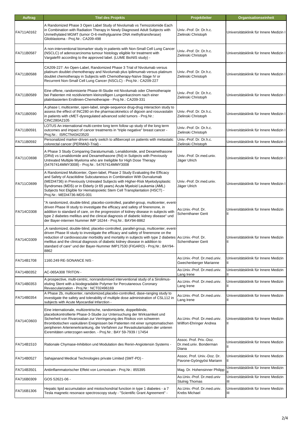| Auftrag    | <b>Titel des Projekts</b>                                                                                                                                                                                                                                                                                                                                                                                                                                    | Projektleiter                                              | Organisationseinheit                                  |
|------------|--------------------------------------------------------------------------------------------------------------------------------------------------------------------------------------------------------------------------------------------------------------------------------------------------------------------------------------------------------------------------------------------------------------------------------------------------------------|------------------------------------------------------------|-------------------------------------------------------|
| FA711A0162 | A Randomized Phase 3 Open Label Study of Nivolumab vs Temozolomide Each<br>in Combination with Radiation Therapy in Newly Diagnosed Adult Subjects with<br>Unmethylated MGMT (tumor O-6-methylguanine DNA methyltransferase)<br>Glioblastoma - Proj.Nr.: CA209-498                                                                                                                                                                                           | Univ.-Prof. Dr. Dr.h.c.<br>Zielinski Christoph             | Universitätsklinik für Innere Medizin I               |
| FA711B0587 | A non-interventional biomarker study in patients with Non-Small Cell Lung Cancer<br>(NSCLC) of adenocarcinoma tumour histology eligible for treatment with<br>Vargatef® according to the approved label. (LUME BioNIS study) -                                                                                                                                                                                                                               | Univ.-Prof. Dr. Dr.h.c.<br>Zielinski Christoph             | Universitätsklinik für Innere Medizin I               |
| FA711B0588 | CA209-227: An Open-Label, Randomized Phase 3 Trial of Nivolumab versus<br>platinum doublet chemotherapy and Nivolumab plus Ipilimumab versus platinum<br>doublet chemotherapy in Subjects with Chemotherapy-Naïve Stage IV or<br>Recurrent Non-Small Cell Lung Cancer (NSCLC) - Proj.Nr.: CA209-227                                                                                                                                                          | Univ.-Prof. Dr. Dr.h.c.<br>Zielinski Christoph             | Universitätsklinik für Innere Medizin I               |
| FA711B0589 | Eine offene, randomisierte Phase-III-Studie mit Nivolumab oder Chemotherapie<br>bei Patienten mit rezidiviertem kleinzelligen Lungenkarzinom nach einer<br>platinbasierten Erstlinien-Chemotherapie - Proj.Nr.: CA209-331                                                                                                                                                                                                                                    | Univ.-Prof. Dr. Dr.h.c.<br>Zielinski Christoph             | Universitätsklinik für Innere Medizin I               |
| FA711B0590 | A phase I, multicenter, open-label, single-sequence drug-drug interaction study to<br>assess the effect of INC280 on the pharmacokinetics of digoxin and rosuvastatin<br>in patients with cMET-dysregulated advanced solid tumors - Proj.Nr.:<br>CINC280A2105                                                                                                                                                                                                | Univ.-Prof. Dr. Dr.h.c.<br>Zielinski Christoph             | Universitätsklinik für Innere Medizin I               |
| FA711B0591 | LOTUS An international multi-centre long term follow up study of the long term<br>outcomes and impact of cancer treatments in "triple negative" breast cancer -<br>Proj.Nr.: ISRCTN43423520                                                                                                                                                                                                                                                                  | Univ.-Prof. Dr. Dr.h.c.<br>Zielinski Christoph             | Universitätsklinik für Innere Medizin I               |
| FA711B0592 | Personalized marker-driven early switch to aflibercept on patients with metastatic<br>colorectal cancer (PERMAD-Trial) -                                                                                                                                                                                                                                                                                                                                     | Univ.-Prof. Dr. Dr.h.c.<br>Zielinski Christoph             | Universitätsklinik für Innere Medizin I               |
| FA711C0698 | A Phase 3 Study Comparing Daratumumab, Lenalidomide, and Dexamethasone<br>(DRd) vs Lenalidomide and Dexamethasone (Rd) in Subjects with Previously<br>Untreated Multiple Myeloma who are Ineligible for High Dose Therapy<br>(54767414MMY3008) - Proj.Nr.: 54767414MMY3008                                                                                                                                                                                   | Univ.-Prof. Dr.med.univ.<br>Jäger Ulrich                   | Universitätsklinik für Innere Medizin I               |
| FA711C0699 | A Randomized Multicenter, Open-label, Phase 2 Study Evaluating the Efficacy<br>and Safety of Azacitidine Subcutaneous in Combination With Durvalumab<br>(MEDI4736) in Previously Untreated Subjects with Higher-Risk Myelodysplastic<br>Syndromes (MDS) or in Elderly (≥ 65 years) Acute Myeloid Leukemia (AML)<br>Subjects Not Eligible for Hematopoietic Stem Cell Transplantation (HSCT) -<br>Proj.Nr.: MEDI4736-MDS-001                                  | Univ.-Prof. Dr.med.univ.<br>Jäger Ulrich                   | Universitätsklinik für Innere Medizin I               |
| FA714C0308 | "A randomized, double-blind, placebo-controlled, parallel-group, multicenter, event-<br>driven Phase III study to investigate the efficacy and safety of finerenone, in<br>addition to standard of care, on the progression of kidney disease in subjects with<br>type 2 diabetes mellitus and the clinical diagnosis of diabetic kidney disease" und<br>der Bayer-internen Nummer IMP 16244 - Proj.Nr.: BAY94-8862                                          | Ao Univ -Prof. Dr.<br><b>Schernthaner Gerit</b>            | Universitätsklinik für Innere Medizin<br>Ш            |
| FA714C0309 | A randomized, double-blind, placebo-controlled, parallel-group, multicenter, event-<br>driven Phase III study to investigate the efficacy and safety of finerenone on the<br>reduction of cardiovascular morbidity and mortality in subjects with type 2 diabetes Ao.Univ.-Prof. Dr.<br>mellitus and the clinical diagnosis of diabetic kidney disease in addition to<br>standard of care" und der Bayer-Nummer IMP17530 (FIGARO) - Proj.Nr.: BAY94-<br>8862 | Schernthaner Gerit                                         | Universitätsklinik für Innere Medizin<br>$\mathbf{H}$ |
| FA714B1708 | 1160.249 RE-SONANCE NIS -                                                                                                                                                                                                                                                                                                                                                                                                                                    | Ao Univ - Prof. Dr.med.univ.<br>Gwechenberger Marianne     | Universitätsklinik für Innere Medizin<br>Ш            |
| FA714B0352 | AC-065A308 TRITON -                                                                                                                                                                                                                                                                                                                                                                                                                                          | Ao Univ - Prof. Dr.med.univ.<br>Lang Irene                 | Universitätsklinik für Innere Medizin<br>Ш            |
| FA714B0353 | A prospective, multi-centric, nonrandomised interventional study of a Sirolimus-<br>eluting Stent with a biodegradable Polymer for Percutaneous Coronary<br>Revascularization - Proj.Nr.: NCT02496169                                                                                                                                                                                                                                                        | Ao.Univ.-Prof. Dr.med.univ.<br>Lang Irene                  | Universitätsklinik für Innere Medizin<br>Ш            |
| FA714B0354 | A Phase 2b, multicenter, ramdomized, placebo-controlled, dase-ranging study to<br>investigate the safety and tolerability of multiple dose administration of CSL112 in<br>subjects with Acute Myocardial Infarction -                                                                                                                                                                                                                                        | Ao Univ - Prof. Dr.med.univ.<br>Lang Irene                 | Universitätsklinik für Innere Medizin<br>Ш            |
| FA714C0603 | Eine internationale, multizentrische, randomisierte, doppelblinde,<br>placebokontrollierte Phase-3-Studie zur Untersuchung der Wirksamkeit und<br>Sicherheit von Rivaroxaban zur Verringerung des Risikos von schweren<br>thrombotischen vaskulären Ereignissen bei Patienten mit einer symptomatischen<br>peripheren Arterienerkrankung, die Verfahren zur Revaskularisation der unteren<br>Exremitäten unterzogen werden. - Proj.Nr.: BAY 59-7939 / 17454  | Ao Univ - Prof. Dr.med.univ.<br>Willfort-Ehringer Andrea   | Universitätsklinik für Innere Medizin<br>Ш            |
| FA714B1510 | Rationale Chymase-Inhibition und Modulation des Renin-Angiotensin Systems -                                                                                                                                                                                                                                                                                                                                                                                  | Assoc. Prof. Priv.-Doz.<br>Dr.med.univ. Bonderman<br>Diana | Universitätsklinik für Innere Medizin<br>Ш            |
| FA714B0527 | Sahajanand Medical Technologies private Limited (SMT-PD) -                                                                                                                                                                                                                                                                                                                                                                                                   | Assoc. Prof. Univ.-Doz. Dr.<br>Pavone-Gyöngyösi Mariann    | Universitätsklinik für Innere Medizin<br>Ш            |
| FA714B3501 | Antiinflammatorischer Effekt von Lornoxicam - Proj.Nr.: 855395                                                                                                                                                                                                                                                                                                                                                                                               | Mag. Dr. Hohensinner Philipp                               | Universitätsklinik für Innere Medizin                 |
| FA716B0309 | GOS 52621-06 -                                                                                                                                                                                                                                                                                                                                                                                                                                               | Ao.Univ.-Prof. Dr.med.univ<br><b>Stulnig Thomas</b>        | Universitätsklinik für Innere Medizin<br>Ш            |
| FA716B1306 | Hepatic lipid accumulation and miotochondrial function in type 1 diabetes - a 7<br>Tesla magnetic resonace spectroscopy study - "Scientific Grant Agreement" -                                                                                                                                                                                                                                                                                               | Ao.Univ.-Prof. Dr.med.univ.<br>Krebs Michael               | Universitätsklinik für Innere Medizin<br>Ш            |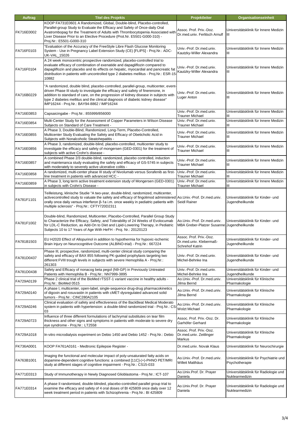| Auftrag    | <b>Titel des Projekts</b>                                                                                                                                                                                                                                                                                                                                                                       | Projektleiter                                                         | Organisationseinheit                                     |
|------------|-------------------------------------------------------------------------------------------------------------------------------------------------------------------------------------------------------------------------------------------------------------------------------------------------------------------------------------------------------------------------------------------------|-----------------------------------------------------------------------|----------------------------------------------------------|
| FK716E0002 | KOOP FA731E0601 A Randomized, Global, Double-blind, Placebo-controlled,<br>Parallel-group Study to Evaluate the Efficacy and Safety of Once-daily Oral<br>Avatrombopag for the Treatment of Adults with Thrombocytopenia Associated with<br>Liver Disease Prior to an Elective Procedure (Prot.Nr. E5501-G000-310) -<br>Proj.Nr.: E5501-G000-310                                                | Assoc. Prof. Priv.-Doz.<br>Dr.med.univ. Ferlitsch Arnulf              | Universitätsklinik für Innere Medizin<br>Ш               |
| FA716F0103 | "Evaluation of the Accuracy of the FreeStyle Libre Flash Glucose Monitoring<br>System - Use in Pregnancy Label Extension Study (CE) [FLIPS] - Proj.Nr.: ADC-<br>UK-VAL_15026                                                                                                                                                                                                                    | Univ.-Prof. Dr.med.univ.<br>Kautzky-Willer Alexandra                  | Universitätsklinik für Innere Medizin<br>Ш               |
| FA716F0104 | A 24 week monocentric prospective randomized, placebo-controlled trial to<br>evaluate efficacy of combination of exenatide and dapagliflozin compared to<br>dapagliflozin and placebo and its effects on hepatic, myocardial and pancreatic fat<br>distribution in patients with uncontrolled type 2 diabetes mellitus - Proj.Nr.: ESR-15<br>10882                                              | Univ.-Prof. Dr.med.univ.<br>Kautzky-Willer Alexandra                  | Universitätsklinik für Innere Medizin<br>Ш               |
| FA716B0229 | 'A randomized, double blind, placebo-controlled, parallel-group, multicenter, event-<br>driven Phase III study to investigate the efficacy and safety of finerenone, in<br>addition to standard of care, on the progression of kidney disease in subjects with<br>type 2 diabetes mellitus and the clinical diagnosis of diabetic kidney disease"<br>IMP16244 - Proj.Nr.: BAY94-8862 / IMP16244 | Univ.-Prof. Dr.med.univ.<br>Luger Anton                               | Universitätsklinik für Innere Medizin<br>Ш               |
| FA716E0853 | Capsaicingabe - Proj.Nr.: 855999/856000                                                                                                                                                                                                                                                                                                                                                         | Univ.-Prof. Dr.med.univ.<br><b>Trauner Michael</b>                    | Universitätsklinik für Innere Medizin<br>Ш               |
| FA716E0854 | Multi-Center Study for the Assessment of Copper Parameters in Wilson Disease<br>Subjects on Standard of Care Treatment -                                                                                                                                                                                                                                                                        | Univ.-Prof. Dr.med.univ.<br><b>Trauner Michael</b>                    | Universitätsklinik für Innere Medizin<br>Ш               |
| FA716E0855 | A Phase 3, Double-Blind, Randomized, Long-Term, Placebo-Controlled,<br>Multicenter Study Evaluating the Safety and Efficacy of Obeticholic Acid in<br>Subjects with Nonalcoholic Steatohepatitis -                                                                                                                                                                                              | Univ.-Prof. Dr.med.univ.<br><b>Trauner Michael</b>                    | Universitätsklinik für Innere Medizin<br>Ш               |
| FA716E0856 | A Phase 3, randomized, double-blind, placebo-controlled, multicenter study to<br>investigate the efficacy and safety of mongersen (GED-0301) for the treatment of<br>subjects with active Crohn's disease -                                                                                                                                                                                     | Univ - Prof. Dr.med.univ.<br><b>Trauner Michael</b>                   | Universitätsklinik für Innere Medizin<br>Ш               |
| FA716E0857 | A combined Phase 2/3 double-blind, randomized, placebo controlled, induction<br>and maintenanca study evaluating the safety and efficacy of GS-5745 in subjects<br>with moderately to severely active ulcerative colitis -                                                                                                                                                                      | Univ.-Prof. Dr.med.univ.<br><b>Trauner Michael</b>                    | Universitätsklinik für Innere Medizin<br>Ш               |
| FA716E0858 | A randomized, multi-center phase III study of Nivolumab versus Sorafenib as first-<br>line treatment in patients with advanced HCC -                                                                                                                                                                                                                                                            | Univ.-Prof. Dr.med.univ.<br><b>Trauner Michael</b>                    | Universitätsklinik für Innere Medizin<br>Ш               |
| FA716E0859 | A Phase 3, long term active treatment extension study of Mongersen (GED-0301)<br>in subjects with Crohn's Disease -                                                                                                                                                                                                                                                                             | Univ.-Prof. Dr.med.univ.<br><b>Trauner Michael</b>                    | Universitätsklinik für Innere Medizin<br>Ш               |
| FA781F1101 | Teilleistung, klinische Studie "A two-year, double-blind, randomized, multicenter,<br>activecontrolled study to valuate the safety and efficacy of fingolimod administered Ao.Univ.-Prof. Dr.med.univ.<br>orally once daily versus interferon $\beta$ -1a i.m. once weekly in pediatric patients with<br>multiple sclerosis" - Proj.Nr.: CFTY720D2311                                           | Seidl Rainer                                                          | Universitätsklinik für Kinder- und<br>Jugendheilkunde    |
| FA781F1002 | Double-blind, Randomized, Multicenter, Placebo-Controlled, Parallel Group Study<br>to Characterize the Efficacy, Safety, and Tolerability of 24 Weeks of Evolocumab<br>for LDL-C Reduction, as Add-On to Diet and Lipid-Lowering Therapy, in Pediatric<br>Subjects 10 to 17 Years of Age With HeFH - Proj. Nr.: 20120123                                                                        | Ao.Univ.-Prof. Dr.med.univ.<br>MBA Greber-Platzer Susanne             | Universitätsklinik für Kinder- und<br>Jugendheilkunde    |
| FA781B1503 | EU H2020 Effect of Allopurinol in addition to hypothermia for hypoxic-ischemic<br>Brain Injury on Neurocognitive Outcome (ALBINO-trial) - Proj.Nr.: 667224                                                                                                                                                                                                                                      | Assoc. Prof. Priv.-Doz.<br>Dr.med.univ. Klebermaß-<br>Schrehof Katrin | Universitätsklinik für Kinder- und<br>Jugendheilkunde    |
| FA781D0437 | Phase III, prospective, randomized, multi-center clinical study comparing the<br>safety and efficacy of BAX 855 following PK-guided prophylaxis targeting two<br>different FVIII trough levels in subjects with severe Hemophilia A - Proj.Nr.:<br>261303                                                                                                                                       | Univ.-Prof. Dr.med.univ.<br>Michel-Behnke Ina                         | Universitätsklinik für Kinder- und<br>Jugendheilkunde    |
| FA781D0438 | Safety and Efficacy of nonacog beta pegol (N9-GP) in Previously Untreated<br>Patients with Hemophilia B - Proj.Nr.: NN7999-3895                                                                                                                                                                                                                                                                 | Univ - Prof. Dr.med.univ.<br>Michel-Behnke Ina                        | Universitätsklinik für Kinder- und<br>Jugendheilkunde    |
| FA729A0139 | Phase 2 clinical trial of the BioMed rTSST-1 variant vaccine in healthy adults -<br>Proj.Nr.: BioMed 0515                                                                                                                                                                                                                                                                                       | Ao.Univ.-Prof. Dr.med.univ.<br>Jilma Bernd                            | Universitätsklinik für Klinische<br>Pharmakologie        |
| FA729A0140 | A phase I, multicenter, open-label, single-sequence drug-drug pharmacokinetics<br>of digoxin and rosuvastin in patients with cMET-dysregulated advanced solid<br>tumors - Proj.Nr.: CINC280A2105                                                                                                                                                                                                | Ao.Univ.-Prof. Dr.med.univ.<br>Jilma Bernd                            | Universitätsklinik für Klinische<br>Pharmakologie        |
| FA729A0246 | Clinical evaluation of safety and effectiveness of the BackBeat Medical Moderato<br>system in patients with hypertension: a double-blind randomized trial - Proj.Nr.: CS-<br>03                                                                                                                                                                                                                 | Ao.Univ.-Prof. Dr.med.univ.<br><b>Wolzt Michael</b>                   | Universitätsklinik für Klinische<br>Pharmakologie        |
| FA729A0723 | Influence of three different formulations of lachrymal substitutes on tear film<br>thickness and other signs and symptoms in patients with moderate to severe dry<br>eye syndrome - Proj.Nr.: LT2558                                                                                                                                                                                            | Assoc. Prof. Priv.-Doz. Dr.<br>Garhöfer Gerhard                       | Universitätsklinik für Klinische<br>Pharmakologie        |
| FA729A1018 | In-vitro microdialysis experiment on Debio 1450 and Debio 1452 - Proj.Nr.: Debio                                                                                                                                                                                                                                                                                                                | Assoc. Prof. Priv.-Doz.<br>Dr.med.univ. Zeitlinger<br>Markus          | Universitätsklinik für Klinische<br>Pharmakologie        |
| FK736A0001 | KOOP FA761A0161 - Medtronic Epilepsie Register -                                                                                                                                                                                                                                                                                                                                                | Dr.med.univ. Novak Klaus                                              | Universitätsklinik für Neurochirurgie                    |
| FA763B1001 | Imaging the functional and molecular impact of poly-unsaturated fatty acids on<br>dopamine-dependent cognitive functions: a combined [11C]-(+)-PHNO PET/MRI<br>study at different stages of cognitive impairment - Proj.Nr.: CS15-033                                                                                                                                                           | Ao.Univ.-Prof. Dr.med.univ.<br>Willeit Matthäus                       | Universitätsklinik für Psychiatrie und<br>Psychotherapie |
| FA771E0313 | Study of Immunotherapy in Newly Diagnosed Glioblastoma - Proj.Nr.: ICT-107                                                                                                                                                                                                                                                                                                                      | Ao.Univ.Prof. Dr. Prayer<br>Daniela                                   | Universitätsklinik für Radiologie und<br>Nuklearmedizin  |
| FA771E0314 | A phase II randomised, double-blinded, placebo-controlled parallel group trial to<br>examine the efficacy and safety of 4 oral doses of BI 425809 once daily over 12<br>week treatment period in patients with Schizophrenia - Proj.Nr.: BI 425809                                                                                                                                              | Ao.Univ.Prof. Dr. Prayer<br>Daniela                                   | Universitätsklinik für Radiologie und<br>Nuklearmedizin  |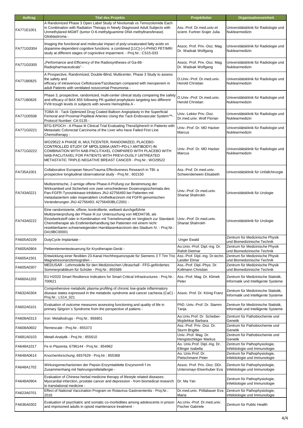| Auftrag    | <b>Titel des Projekts</b>                                                                                                                                                                                                                                                                                                                                                                           | Projektleiter                                             | <b>Organisationseinheit</b>                                                |
|------------|-----------------------------------------------------------------------------------------------------------------------------------------------------------------------------------------------------------------------------------------------------------------------------------------------------------------------------------------------------------------------------------------------------|-----------------------------------------------------------|----------------------------------------------------------------------------|
| FA771E1001 | A Randomized Phase 3 Open Label Study of Nivolumab vs Temozolomide Each<br>in Combination with Radiation Therapy in Newly Diagnosed Adult Subjects with<br>Unmethylared MGMT (tumor O-6-methylguamime DNA methyltransferase)<br>Glioblastroma -                                                                                                                                                     | Ass.-Prof. Dr.med.univ.et<br>scient. Furtner-Srajer Julia | Universitätsklinik für Radiologie und<br>Nuklearmedizin                    |
| FA771G0304 | Imaging the functional and molecular impact of poly-unsaturated fatty acids on<br>dopamine-dependent cognitive functions: a combined [11C]-(+)-PHNO PET/MRI<br>study at different stages of cognivitive impairment. - Proj.Nr.: CS15-033                                                                                                                                                            | Assoc. Prof. Priv.-Doz. Mag.<br>Dr. Wadsak Wolfgang       | Universitätsklinik für Radiologie und<br>Nuklearmedizin                    |
| FA771G0305 | Performance and Efficiency of the Radiosyntheses of Ga-68-<br>Radiopharmaceuticals" -                                                                                                                                                                                                                                                                                                               | Assoc. Prof. Priv.-Doz. Mag.<br>Dr. Wadsak Wolfgang       | Universitätsklinik für Radiologie und<br>Nuklearmedizin                    |
| FA771B0825 | A Prospective, Randomized, Double-Blind, Multicenter, Phase 3 Study to assess<br>the safety and<br>efficacy of intravenous Ceftolozane/Tazobactam compared with meropenem in<br>adult Patients with ventilated nosocomial Pneumonia -                                                                                                                                                               | O.Univ.-Prof. Dr.med.univ.<br>Herold Christian            | Universitätsklinik für Radiologie und<br>Nuklearmedizin                    |
| FA771B0826 | Phase 3, prospective, randomized, multi-center clinical study comparing the safety<br>and efficacy of BAX 855 following PK-guided prophylaxis targeting two different<br>FVIII trough levels in subjects with severe Hemophilia A -                                                                                                                                                                 | O.Univ.-Prof. Dr.med.univ.<br><b>Herold Christian</b>     | Universitätsklinik für Radiologie und<br>Nuklearmedizin                    |
| FA771D0508 | TOBA III - Tack Optimized Drug Coated Balloon Angioplasty in the Superficial<br>Femoral and Proximal Popliteal Arteries Using the Tack Endovascular System™-<br>Protocol Number: CA 0135 -                                                                                                                                                                                                          | Univ.-Lektor Priv.-Doz.<br>Dr.med.univ. Wolf Florian      | Universitätsklinik für Radiologie und<br>Nuklearmedizin                    |
| FA771G0221 | BTG-EPOCH - A Phase III Clinical Trial Evaluating TheraSphere® in Patients with<br>Metastatic Colorectal Carcinoma of the Liver who have Failed First Line<br>Chemotherapy -                                                                                                                                                                                                                        | Univ.-Prof. Dr. MD Hacker<br>Marcus                       | Universitätsklinik für Radiologie und<br>Nuklearmedizin                    |
| FA771G0222 | WO29522 A PHASE III, MULTICENTER, RANDOMIZED, PLACEBO-<br>CONTROLLED STUDY OF MPDL3280A (ANTI-PD-L1 ANTIBODY) IN<br>COMBINATION WITH NAB-PACLITAXEL COMPARED WITH PLACEBO WITH<br>NAB-PACLITAXEL FOR PATIENTS WITH PREVI-OUSLY UNTREATED<br>METASTATIC TRIPLE-NEGATIVE BREAST CANCER - Proj.Nr.: WO29522                                                                                            | Univ.-Prof. Dr. MD Hacker<br>Marcus                       | Universitätsklinik für Radiologie und<br>Nuklearmedizin                    |
| FA735A1001 | Collaborative European NeuroTrauma Effectiveness Research in TBI: a<br>prospective longitudinal observational study - Proj.Nr.: 602150                                                                                                                                                                                                                                                              | Ass.-Prof. Dr.med.univ.<br>Schwendenwein Elisabeth        | Universitätsklinik für Unfallchirurgie                                     |
| FA743A0221 | Multizentrische, 2-armige offene Phase-II-Prüfung zur Bestimmung der<br>Wirksamkeit und Sicherheit von zwei verschiedenen Dosierungsschemata des<br>Pan-FGFR-Tyrosinkinase-Inhibitors JNJ-42756493 bei Patienten mit<br>metastasiertem oder inoperablem Urothelkarzinom mit FGFR-genomischen<br>Veränderungen JNJ-42756493; 42756493BLC2001 -                                                       | Univ.-Prof. Dr.med.univ.<br>Shariat Shahrokh              | Universitätsklinik für Urologie                                            |
| FA743A0222 | Eine randomisierte, offene, kontrollierte, weltweit durchgeführte<br>Multizenterprüfung der Phase III zur Untersuchung von MEDI4736, als<br>Einzelwirkstoff oder in Kombination mit Tremelimumab im Vergleich zur Standard-<br>Chemotherapie als Erstlinienbehandlung bei Patienten mit einem nicht<br>resektierbaren schwerwiegenden Harnblasenkarzinom des Stadium IV. - Proj.Nr.:<br>D419BC00001 | Univ - Prof. Dr.med.univ.<br>Shariat Shahrokh             | Universitätsklinik für Urologie                                            |
| FA605A0109 | DutyCycle Implantate -                                                                                                                                                                                                                                                                                                                                                                              | <b>Unger Ewald</b>                                        | Zentrum für Medizinische Physik<br>und Biomedizinische Technik             |
| FA605A0904 | Peltierelementesteuerung für Kryotherapie-Gerät -                                                                                                                                                                                                                                                                                                                                                   | Ao Univ - Prof. Dipl - Ing. Dr.<br>Rafolt Dietmar         | Zentrum für Medizinische Physik<br>und Biomedizinische Technik             |
| FA605A1501 | Entwicklung einer flexiblen 23-Kanal Hochfrequenzspule für Siemens 3 T Tim Trio<br>Magnetresonanztomografen -                                                                                                                                                                                                                                                                                       | Ass.-Prof. Dipl.-Ing. Dr.techn.<br>Laistler Elmar         | Zentrum für Medizinische Physik<br>und Biomedizinische Technik             |
| FA605A0307 | MEDUSAR - Lehrmodelle für den Medizinischen Ultraschall - FFG-gefördertes<br>Sommerpraktikum für Schüler - Proj.Nr.: 855589                                                                                                                                                                                                                                                                         | Ass.-Prof. Dipl.-Phys. Dr.<br>Kollmann Christian          | Zentrum für Medizinische Physik<br>und Biomedizinische Technik             |
| FA660A1202 | EU H2020 Smart Resilience Indicators for Smart Critical Infrastructures - Proj.Nr.:<br>700621                                                                                                                                                                                                                                                                                                       | Ass.-Prof. Mag. Dr. Klimek<br>Peter                       | Zentrum für Medizinische Statistik,<br>Informatik und Intelligente Systeme |
| FA632A0304 | Comprehensive metabolic plasma profiling of chronic low-grade inflammatory<br>disease states expressed in the metabolic syndrome and cancer cachexia (CaC)<br>Proj.Nr.: LS14_021                                                                                                                                                                                                                    | Assoc. Prof. Dr. König Franz                              | Zentrum für Medizinische Statistik,<br>Informatik und Intelligente Systeme |
| FA602A0101 | Evaluation of outcome measures assessing functioning and quality of life in<br>primary Sjögren's Syndrome from the perspective of patiens -                                                                                                                                                                                                                                                         | PhD. Univ.-Prof. Dr. Stamm<br>Tanja                       | Zentrum für Medizinische Statistik,<br>Informatik und Intelligente Systeme |
| FA608A0313 | Iron Metallodrugs - Proj.Nr.: 856801                                                                                                                                                                                                                                                                                                                                                                | Ao.Univ.Prof. Dr. Scheiber-<br>Mojdehkar Barbara          | Zentrum für Pathobiochemie und<br>Genetik                                  |
| FA608A0602 | Remescale - Proj.Nr.: 855373                                                                                                                                                                                                                                                                                                                                                                        | Ass.-Prof. Priv.-Doz. Dr.<br><b>Sturm Brigitte</b>        | Zentrum für Pathobiochemie und<br>Genetik                                  |
| FA681A0103 | Metall-Analytik - Proj.Nr.: 855610                                                                                                                                                                                                                                                                                                                                                                  | Univ - Prof. Mag. Dr.<br>Hengstschläger Markus            | Zentrum für Pathobiochemie und<br>Genetik                                  |
| FA648A1017 | Fe in Plazenta; 6796144 - Proj.Nr.: 854962                                                                                                                                                                                                                                                                                                                                                          | Ao. Univ.Prof. Dipl.-Ing. Dr.<br>Ellinger Isabella        | Zentrum für Pathophysiologie,<br>Infektiologie und Immunologie             |
| FA648A0614 | Knochenforschung; 6937629 - Proj.Nr.: 855368                                                                                                                                                                                                                                                                                                                                                        | Ao. Univ.Prof. Dr.<br>Pietschmann Peter                   | Zentrum für Pathophysiologie,<br>Infektiologie und Immunologie             |
| FA648A1702 | Wirkungsmechanismen der Pepsin-Enzymtablette Enzynorm® f im<br>Zusammenhang mit Nahrungsmittelallergie -                                                                                                                                                                                                                                                                                            | Assoc. Prof. Priv.-Doz. DDr.<br>Untersmayr-Elsenhuber Eva | Zentrum für Pathophysiologie,<br>Infektiologie und Immunologie             |
| FA648A0904 | Evaluation of Chinese herbal medicine therapy of lifestyle related diseases:<br>Myocardial infarction, prostate cancer and depression - from biomedical research<br>to translational medicine -                                                                                                                                                                                                     | Dr. Ma Yan                                                | Zentrum für Pathophysiologie,<br>Infektiologie und Immunologie             |
| FA623A0701 | Effect of National Vaccination Program on Rotavirus Gastroenteritis - Proj.Nr.:<br>2016                                                                                                                                                                                                                                                                                                             | Dr.med.univ. Pöllabauer Eva<br>Maria                      | Zentrum für Pathophysiologie,<br>Infektiologie und Immunologie             |
| FA636A0302 | Evaluation of psychiatric and somatic co-morbidities among adolescents in prison<br>and imprisoned adults in opioid maintenance treatment -                                                                                                                                                                                                                                                         | Ao.Univ.-Prof. Dr.med.univ.<br><b>Fischer Gabriele</b>    | Zentrum für Public Health                                                  |